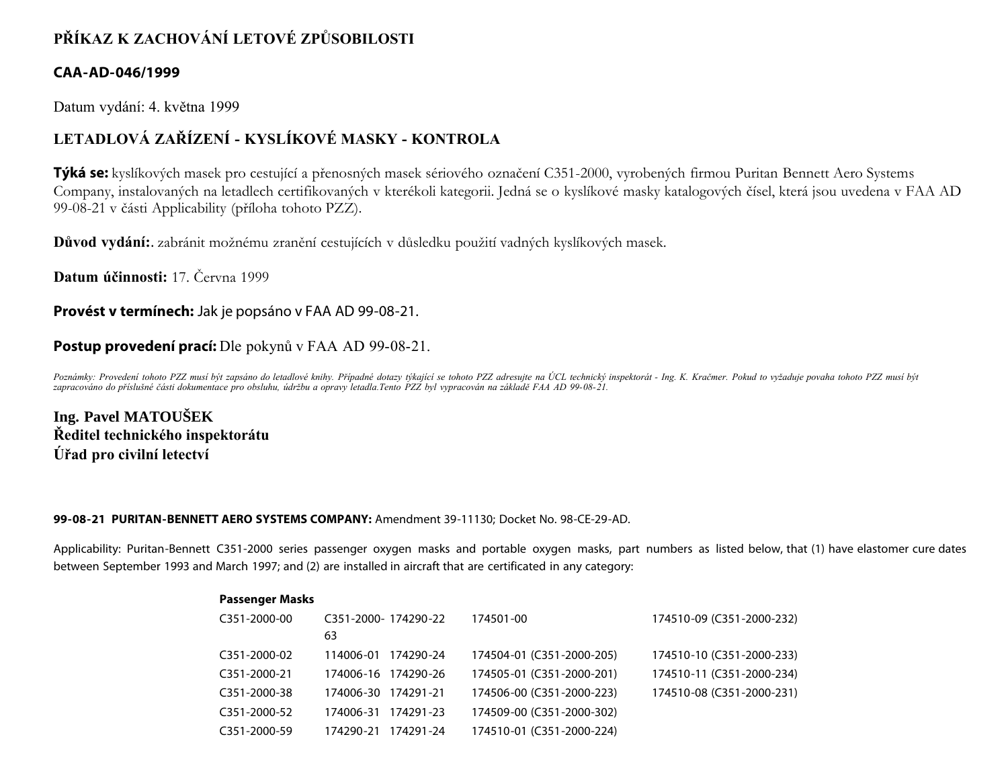# **PŘÍKAZ K ZACHOVÁNÍ LETOVÉ ZPŮSOBILOSTI**

## **CAA-AD-046/1999**

Datum vydání: 4. května 1999

# **LETADLOVÁ ZAŘÍZENÍ - KYSLÍKOVÉ MASKY - KONTROLA**

**Týká se:** kyslíkových masek pro cestující a přenosných masek sériového označení C351-2000, vyrobených firmou Puritan Bennett Aero Systems Company, instalovaných na letadlech certifikovaných v kterékoli kategorii. Jedná se o kyslíkové masky katalogových čísel, která jsou uvedena v FAA AD 99-08-21 v části Applicability (příloha tohoto PZZ).

**Důvod vydání:**. zabránit možnému zranění cestujících v důsledku použití vadných kyslíkových masek.

**Datum účinnosti:** 17. Června 1999

**Provést v termínech:** Jak je popsáno v FAA AD 99-08-21.

## **Postup provedení prací:** Dle pokynů v FAA AD 99-08-21.

*Poznámky: Provedení tohoto PZZ musí být zapsáno do letadlové knihy. Případné dotazy týkající se tohoto PZZ adresujte na ÚCL technický inspektorát - Ing. K. Kračmer. Pokud to vyžaduje povaha tohoto PZZ musí být zapracováno do příslušné části dokumentace pro obsluhu, údržbu a opravy letadla.Tento PZZ byl vypracován na základě FAA AD 99-08-21.*

**Ing. Pavel MATOUŠEK Ředitel technického inspektorátu Úřad pro civilní letectví**

#### **99-08-21 PURITAN-BENNETT AERO SYSTEMS COMPANY:** Amendment 39-11130; Docket No. 98-CE-29-AD.

Applicability: Puritan-Bennett C351-2000 series passenger oxygen masks and portable oxygen masks, part numbers as listed below, that (1) have elastomer cure dates between September 1993 and March 1997; and (2) are installed in aircraft that are certificated in any category:

| <b>Passenger Masks</b>    |                      |           |                           |                           |
|---------------------------|----------------------|-----------|---------------------------|---------------------------|
| C351-2000-00              | C351-2000- 174290-22 |           | 174501-00                 | 174510-09 (C351-2000-232) |
|                           | 63                   |           |                           |                           |
| C <sub>351</sub> -2000-02 | 114006-01            | 174290-24 | 174504-01 (C351-2000-205) | 174510-10 (C351-2000-233) |
| C351-2000-21              | 174006-16 174290-26  |           | 174505-01 (C351-2000-201) | 174510-11 (C351-2000-234) |
| C351-2000-38              | 174006-30 174291-21  |           | 174506-00 (C351-2000-223) | 174510-08 (C351-2000-231) |
| C <sub>351</sub> -2000-52 | 174006-31            | 174291-23 | 174509-00 (C351-2000-302) |                           |
| C351-2000-59              | 174290-21            | 174291-24 | 174510-01 (C351-2000-224) |                           |
|                           |                      |           |                           |                           |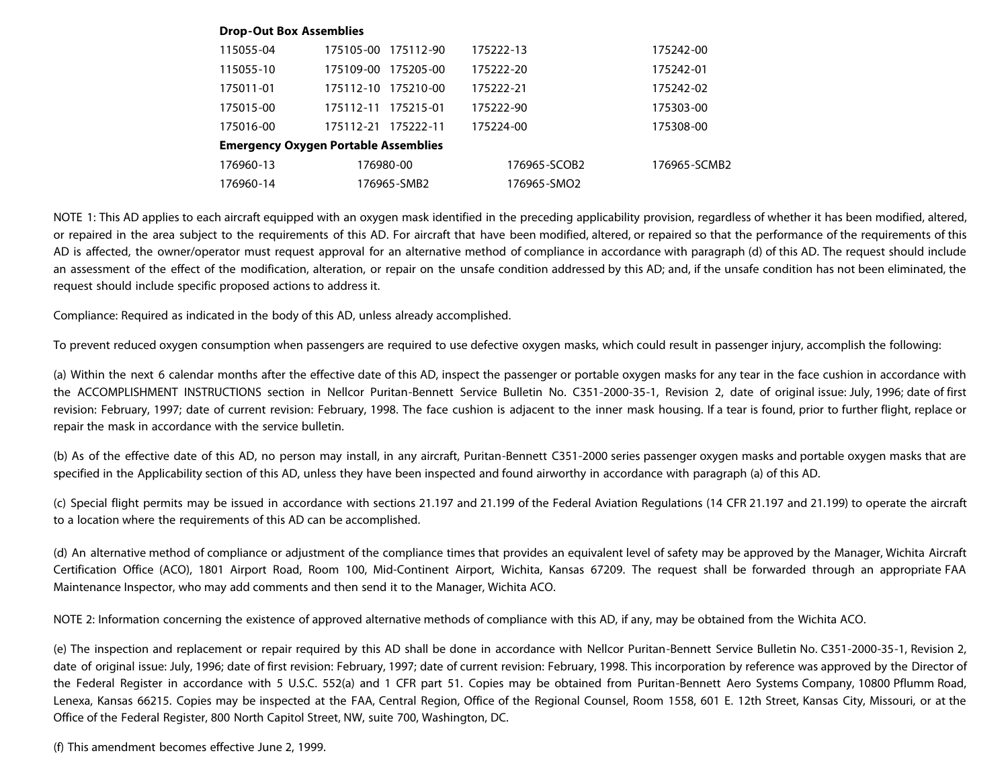#### **Drop-Out Box Assemblies**

| 115055-04                                   | 175105-00<br>175112-90 | 175222-13    | 175242-00    |  |  |  |  |
|---------------------------------------------|------------------------|--------------|--------------|--|--|--|--|
| 115055-10                                   | 175205-00<br>175109-00 | 175222-20    | 175242-01    |  |  |  |  |
| 175011-01                                   | 175210-00<br>175112-10 | 175222-21    | 175242-02    |  |  |  |  |
| 175015-00                                   | 175112-11<br>175215-01 | 175222-90    | 175303-00    |  |  |  |  |
| 175016-00                                   | 175112-21<br>175222-11 | 175224-00    | 175308-00    |  |  |  |  |
| <b>Emergency Oxygen Portable Assemblies</b> |                        |              |              |  |  |  |  |
| 176960-13                                   | 176980-00              | 176965-SCOB2 | 176965-SCMB2 |  |  |  |  |
| 176960-14                                   | 176965-SMB2            | 176965-SMO2  |              |  |  |  |  |

NOTE 1: This AD applies to each aircraft equipped with an oxygen mask identified in the preceding applicability provision, regardless of whether it has been modified, altered, or repaired in the area subject to the requirements of this AD. For aircraft that have been modified, altered, or repaired so that the performance of the requirements of this AD is affected, the owner/operator must request approval for an alternative method of compliance in accordance with paragraph (d) of this AD. The request should include an assessment of the effect of the modification, alteration, or repair on the unsafe condition addressed by this AD; and, if the unsafe condition has not been eliminated, the request should include specific proposed actions to address it.

Compliance: Required as indicated in the body of this AD, unless already accomplished.

To prevent reduced oxygen consumption when passengers are required to use defective oxygen masks, which could result in passenger injury, accomplish the following:

(a) Within the next 6 calendar months after the effective date of this AD, inspect the passenger or portable oxygen masks for any tear in the face cushion in accordance with the ACCOMPLISHMENT INSTRUCTIONS section in Nellcor Puritan-Bennett Service Bulletin No. C351-2000-35-1, Revision 2, date of original issue: July, 1996; date of first revision: February, 1997; date of current revision: February, 1998. The face cushion is adjacent to the inner mask housing. If a tear is found, prior to further flight, replace or repair the mask in accordance with the service bulletin.

(b) As of the effective date of this AD, no person may install, in any aircraft, Puritan-Bennett C351-2000 series passenger oxygen masks and portable oxygen masks that are specified in the Applicability section of this AD, unless they have been inspected and found airworthy in accordance with paragraph (a) of this AD.

(c) Special flight permits may be issued in accordance with sections 21.197 and 21.199 of the Federal Aviation Regulations (14 CFR 21.197 and 21.199) to operate the aircraft to a location where the requirements of this AD can be accomplished.

(d) An alternative method of compliance or adjustment of the compliance times that provides an equivalent level of safety may be approved by the Manager, Wichita Aircraft Certification Office (ACO), 1801 Airport Road, Room 100, Mid-Continent Airport, Wichita, Kansas 67209. The request shall be forwarded through an appropriate FAA Maintenance Inspector, who may add comments and then send it to the Manager, Wichita ACO.

NOTE 2: Information concerning the existence of approved alternative methods of compliance with this AD, if any, may be obtained from the Wichita ACO.

(e) The inspection and replacement or repair required by this AD shall be done in accordance with Nellcor Puritan-Bennett Service Bulletin No. C351-2000-35-1, Revision 2, date of original issue: July, 1996; date of first revision: February, 1997; date of current revision: February, 1998. This incorporation by reference was approved by the Director of the Federal Register in accordance with 5 U.S.C. 552(a) and 1 CFR part 51. Copies may be obtained from Puritan-Bennett Aero Systems Company, 10800 Pflumm Road, Lenexa, Kansas 66215. Copies may be inspected at the FAA, Central Region, Office of the Regional Counsel, Room 1558, 601 E. 12th Street, Kansas City, Missouri, or at the Office of the Federal Register, 800 North Capitol Street, NW, suite 700, Washington, DC.

(f) This amendment becomes effective June 2, 1999.